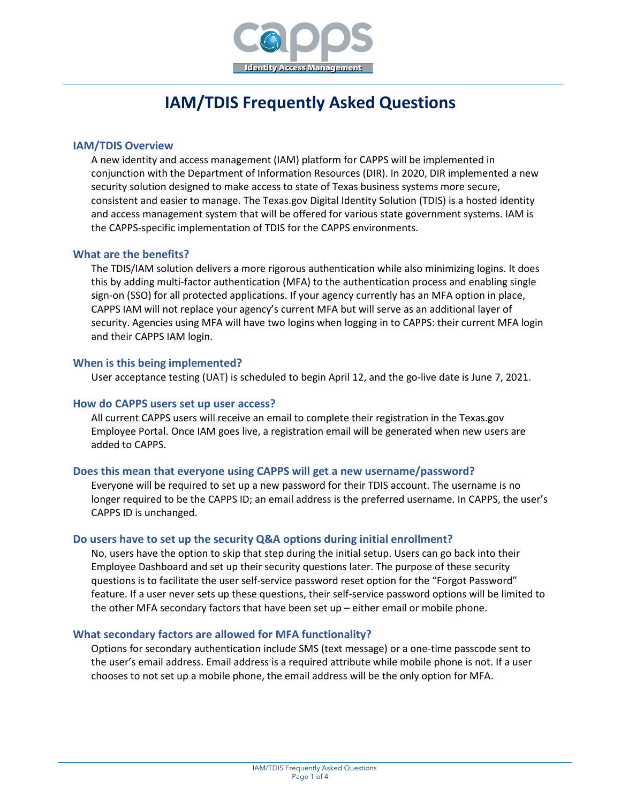

# **IAM/TDIS Frequently Asked Questions**

#### **IAM/TDIS Overview**

A new identity and access management (IAM) platform for CAPPS will be implemented in conjunction with the Department of Information Resources (DIR). In 2020, DIR implemented a new security solution designed to make access to state of Texas business systems more secure, consistent and easier to manage. The Texas.gov Digital Identity Solution (TDIS) is a hosted identity and access management system that will be offered for various state government systems. IAM is the CAPPS-specific implementation of TDIS for the CAPPS environments.

#### **What are the benefits?**

The TDIS/IAM solution delivers a more rigorous authentication while also minimizing logins. It does this by adding multi-factor authentication (MFA) to the authentication process and enabling single sign-on (SSO) for all protected applications. If your agency currently has an MFA option in place, CAPPS IAM will not replace your agency's current MFA but will serve as an additional layer of security. Agencies using MFA will have two logins when logging in to CAPPS: their current MFA login and their CAPPS IAM login.

## **When is this being implemented?**

User acceptance testing (UAT) is scheduled to begin April 12, and the go-live date is June 7, 2021.

#### **How do CAPPS users set up user access?**

All current CAPPS users will receive an email to complete their registration in the Texas.gov Employee Portal. Once IAM goes live, a registration email will be generated when new users are added to CAPPS.

#### **Does this mean that everyone using CAPPS will get a new username/password?**

Everyone will be required to set up a new password for their TDIS account. The username is no longer required to be the CAPPS ID; an email address is the preferred username. In CAPPS, the user's CAPPS ID is unchanged.

#### **Do users have to set up the security Q&A options during initial enrollment?**

No, users have the option to skip that step during the initial setup. Users can go back into their Employee Dashboard and set up their security questions later. The purpose of these security questions is to facilitate the user self-service password reset option for the "Forgot Password" feature. If a user never sets up these questions, their self-service password options will be limited to the other MFA secondary factors that have been set up – either email or mobile phone.

#### **What secondary factors are allowed for MFA functionality?**

Options for secondary authentication include SMS (text message) or a one-time passcode sent to the user's email address. Email address is a required attribute while mobile phone is not. If a user chooses to not set up a mobile phone, the email address will be the only option for MFA.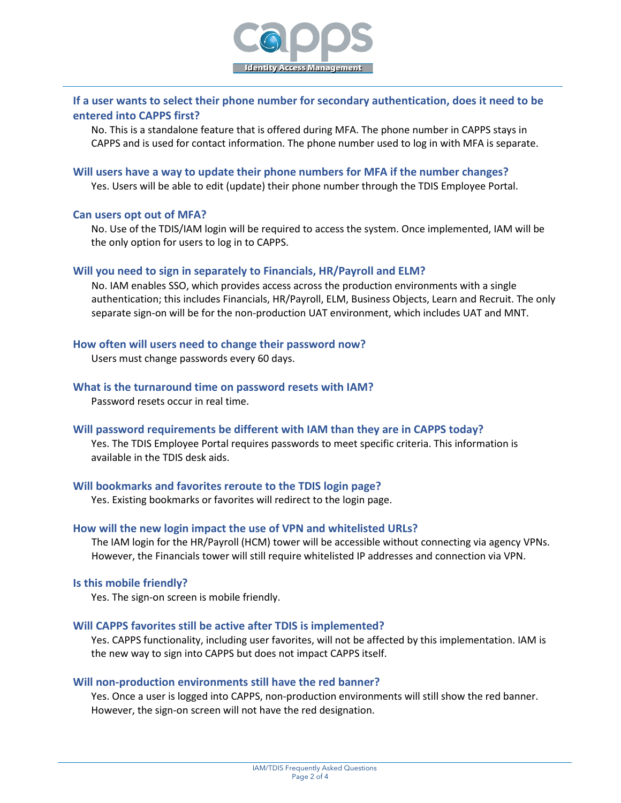

# **If a user wants to select their phone number for secondary authentication, does it need to be entered into CAPPS first?**

No. This is a standalone feature that is offered during MFA. The phone number in CAPPS stays in CAPPS and is used for contact information. The phone number used to log in with MFA is separate.

#### **Will users have a way to update their phone numbers for MFA if the number changes?**

Yes. Users will be able to edit (update) their phone number through the TDIS Employee Portal.

#### **Can users opt out of MFA?**

No. Use of the TDIS/IAM login will be required to access the system. Once implemented, IAM will be the only option for users to log in to CAPPS.

#### **Will you need to sign in separately to Financials, HR/Payroll and ELM?**

No. IAM enables SSO, which provides access across the production environments with a single authentication; this includes Financials, HR/Payroll, ELM, Business Objects, Learn and Recruit. The only separate sign-on will be for the non-production UAT environment, which includes UAT and MNT.

#### **How often will users need to change their password now?**

Users must change passwords every 60 days.

# **What is the turnaround time on password resets with IAM?**

Password resets occur in real time.

#### **Will password requirements be different with IAM than they are in CAPPS today?**

Yes. The TDIS Employee Portal requires passwords to meet specific criteria. This information is available in the TDIS desk aids.

#### **Will bookmarks and favorites reroute to the TDIS login page?**

Yes. Existing bookmarks or favorites will redirect to the login page.

#### **How will the new login impact the use of VPN and whitelisted URLs?**

The IAM login for the HR/Payroll (HCM) tower will be accessible without connecting via agency VPNs. However, the Financials tower will still require whitelisted IP addresses and connection via VPN.

#### **Is this mobile friendly?**

Yes. The sign-on screen is mobile friendly.

#### **Will CAPPS favorites still be active after TDIS is implemented?**

Yes. CAPPS functionality, including user favorites, will not be affected by this implementation. IAM is the new way to sign into CAPPS but does not impact CAPPS itself.

#### **Will non-production environments still have the red banner?**

Yes. Once a user is logged into CAPPS, non-production environments will still show the red banner. However, the sign-on screen will not have the red designation.